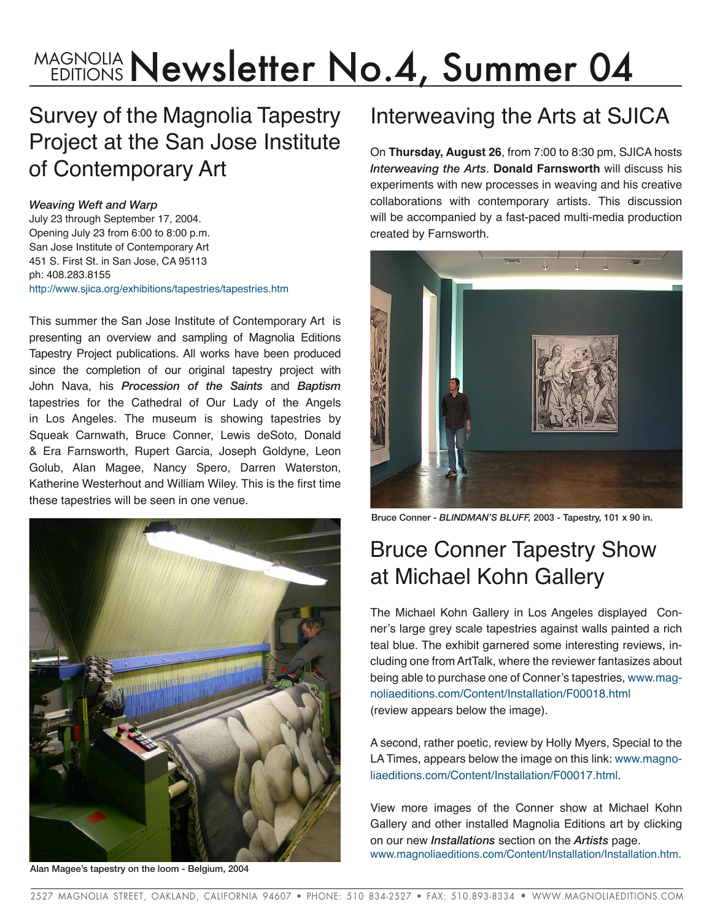# MAGNOLIA **Newsletter No.4, Summer 04**

#### Survey of the Magnolia Tapestry Project at the San Jose Institute of Contemporary Art

#### *Weaving Weft and Warp*

July 23 through September 17, 2004. Opening July 23 from 6:00 to 8:00 p.m. San Jose Institute of Contemporary Art 451 S. First St. in San Jose, CA 95113 ph: 408.283.8155 <http://www.sjica.org/exhibitions/tapestries/tapestries.htm>

This summer the San Jose Institute of Contemporary Art is presenting an overview and sampling of Magnolia Editions Tapestry Project publications. All works have been produced since the completion of our original tapestry project with John Nava, his *Procession of the Saints* and *Baptism* tapestries for the Cathedral of Our Lady of the Angels in Los Angeles. The museum is showing tapestries by Squeak Carnwath, Bruce Conner, Lewis deSoto, Donald & Era Farnsworth, Rupert Garcia, Joseph Goldyne, Leon Golub, Alan Magee, Nancy Spero, Darren Waterston, Katherine Westerhout and William Wiley. This is the first time these tapestries will be seen in one venue.



Alan Magee's tapestry on the loom - Belgium, 2004

## Interweaving the Arts at SJICA

On **Thursday, August 26**, from 7:00 to 8:30 pm, SJICA hosts *Interweaving the Arts*. **Donald Farnsworth** will discuss his experiments with new processes in weaving and his creative collaborations with contemporary artists. This discussion will be accompanied by a fast-paced multi-media production created by Farnsworth.



Bruce Conner *- BLINDMAN'S BLUFF,* 2003 - Tapestry, 101 x 90 in.

## Bruce Conner Tapestry Show at Michael Kohn Gallery

The Michael Kohn Gallery in Los Angeles displayed Conner's large grey scale tapestries against walls painted a rich teal blue. The exhibit garnered some interesting reviews, including one from ArtTalk, where the reviewer fantasizes about being able to purchase one of Conner's tapestries, [www.mag](http://www.magnoliaeditions.com/Content/Installation/F00018.html)[noliaeditions.com/Content/Installation/F00018.html](http://www.magnoliaeditions.com/Content/Installation/F00018.html) (review appears below the image).

A second, rather poetic, review by Holly Myers, Special to the LA Times, appears below the image on this link: [www.magno](http://www.magnoliaeditions.com/Content/Installation/F00017.html)[liaeditions.com/Content/Installation/F00017.html](http://www.magnoliaeditions.com/Content/Installation/F00017.html).

View more images of the Conner show at Michael Kohn Gallery and other installed Magnolia Editions art by clicking on our new *Installations* section on the *Artists* page. [www.magnoliaeditions.com/Content/Installation/Installation.htm.](www.magnoliaeditions.com/Content/Installation/Installation.htm)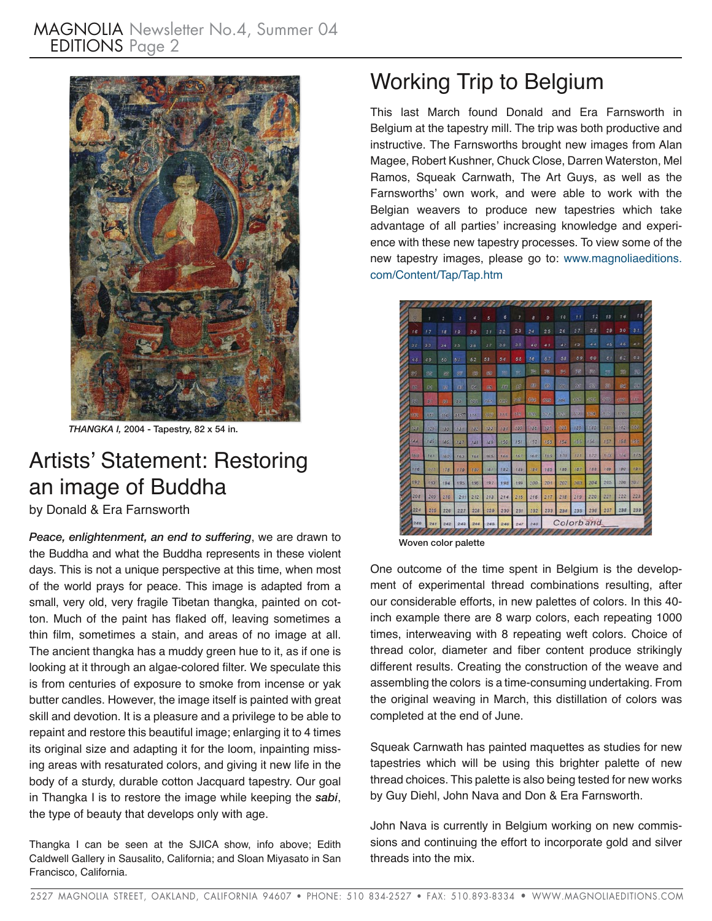

*THANGKA I,* 2004 - Tapestry, 82 x 54 in.

#### Artists' Statement: Restoring an image of Buddha

by Donald & Era Farnsworth

*Peace, enlightenment, an end to suffering*, we are drawn to the Buddha and what the Buddha represents in these violent days. This is not a unique perspective at this time, when most of the world prays for peace. This image is adapted from a small, very old, very fragile Tibetan thangka, painted on cotton. Much of the paint has flaked off, leaving sometimes a thin film, sometimes a stain, and areas of no image at all. The ancient thangka has a muddy green hue to it, as if one is looking at it through an algae-colored filter. We speculate this is from centuries of exposure to smoke from incense or yak butter candles. However, the image itself is painted with great skill and devotion. It is a pleasure and a privilege to be able to repaint and restore this beautiful image; enlarging it to 4 times its original size and adapting it for the loom, inpainting missing areas with resaturated colors, and giving it new life in the body of a sturdy, durable cotton Jacquard tapestry. Our goal in Thangka I is to restore the image while keeping the *sabi*, the type of beauty that develops only with age.

Thangka I can be seen at the SJICA show, info above; Edith Caldwell Gallery in Sausalito, California; and Sloan Miyasato in San Francisco, California.

## Working Trip to Belgium

This last March found Donald and Era Farnsworth in Belgium at the tapestry mill. The trip was both productive and instructive. The Farnsworths brought new images from Alan Magee, Robert Kushner, Chuck Close, Darren Waterston, Mel Ramos, Squeak Carnwath, The Art Guys, as well as the Farnsworths' own work, and were able to work with the Belgian weavers to produce new tapestries which take advantage of all parties' increasing knowledge and experience with these new tapestry processes. To view some of the new tapestry images, please go to: [www.magnoliaeditions.](http://www.magnoliaeditions.com/Content/Tap/Tap.htm) [com/Content/Tap/Tap.htm](http://www.magnoliaeditions.com/Content/Tap/Tap.htm)

| Ō.        | ŧ          | $\overline{z}$ | ð            | 4   | 5    | 6         | 7         | s           | э         | 10      | 11   | 12      | 13       | 74  | f5         |
|-----------|------------|----------------|--------------|-----|------|-----------|-----------|-------------|-----------|---------|------|---------|----------|-----|------------|
| 16        | 17         | 18             | FB.          | 20  | 21   | 22        | 23        | 24          | 25        | 26      | 27   | 2.8     | 29       | 30  | 3L         |
| 32        | 33         | 34             | 35           | 36  | 37   | 38        | 3.9       | 40          | 41        | 42      | 43   | 44      | 45       | 46  | 47         |
| 48        | 49         | 50             | 51           | 62  | 53   | 54        | 55        | 56          | 67        | 55      | 59   | 40      | $\sigma$ | 62  | 63         |
| 89        | 52         | <b>OTE</b>     | <b>OF</b>    | 成   | 60   | <b>BT</b> | 90        | 施           | 78        | 89      | 58   | 取       | 59       | 93  | 股          |
| <b>DO</b> | <b>CS</b>  | 570            | <b>ABI</b>   | ØG. | 88   | 58        | <b>GP</b> | 66          | 89        | $-0.01$ | 28   | $-5\%$  | 38       | 96  | 46         |
| A.        | 财          | 88             | 99           | 696 | 000  | 102       | -68       | 986         | 692       | 106     | 107  | $-00.6$ | 103      | 600 | 40         |
| 1000      | <b>DEV</b> | $194 -$        | <b>QUARE</b> | 116 | 937  | 8978      | 988       | <b>Calc</b> | 150       | 659     | 3231 | 939     | 898      | 175 |            |
| t s       | 128        | 130            | 131          | 182 | 199  | 134       | 135       | 138         | 137       | 106     | 139  | 140     | 141      | 142 | <b>DOS</b> |
| 144       | 145        | 146            | 147          | 148 | 149  | 150       | 151       | 152         | 159       | 154     | 166  | 156     | 157      | 158 | (ab)       |
| 160       | 161        | 162            | 163          | 164 | 105  | 166       | 167       | 168         | 169       | 270     | 171  | 1.72    | 1/73     | 154 | 175        |
| 176       | 1/27       | 178            | 170          | 160 | 131  | 182       | 183       | 198         | 185       | 186     | 187  | 158     | 139      | 190 | 191        |
| 192       | 193        | 194            | 195          | 195 | 19.7 | 198       | 199       | 200         | 201       | 202     | 203  | 204     | 205      | 206 | 792        |
| 208       | 209        | 210            | 211          | 212 | 213  | 214       | 215       | 216         | 247       | 218     | 219  | 220     | 221      | 222 | 223        |
| 224       | 225        | 226            | 227          | 228 | 229  | 230       | 231       | 232         | 233       | 234     | 235  | 236     | 237      | 238 | 239        |
| 240       | 241        | 242            | 243          | 244 | 245  | 246       | 247       | 248         | Colorband |         |      |         |          |     |            |

Woven color palette

One outcome of the time spent in Belgium is the development of experimental thread combinations resulting, after our considerable efforts, in new palettes of colors. In this 40 inch example there are 8 warp colors, each repeating 1000 times, interweaving with 8 repeating weft colors. Choice of thread color, diameter and fiber content produce strikingly different results. Creating the construction of the weave and assembling the colors is a time-consuming undertaking. From the original weaving in March, this distillation of colors was completed at the end of June.

Squeak Carnwath has painted maquettes as studies for new tapestries which will be using this brighter palette of new thread choices. This palette is also being tested for new works by Guy Diehl, John Nava and Don & Era Farnsworth.

John Nava is currently in Belgium working on new commissions and continuing the effort to incorporate gold and silver threads into the mix.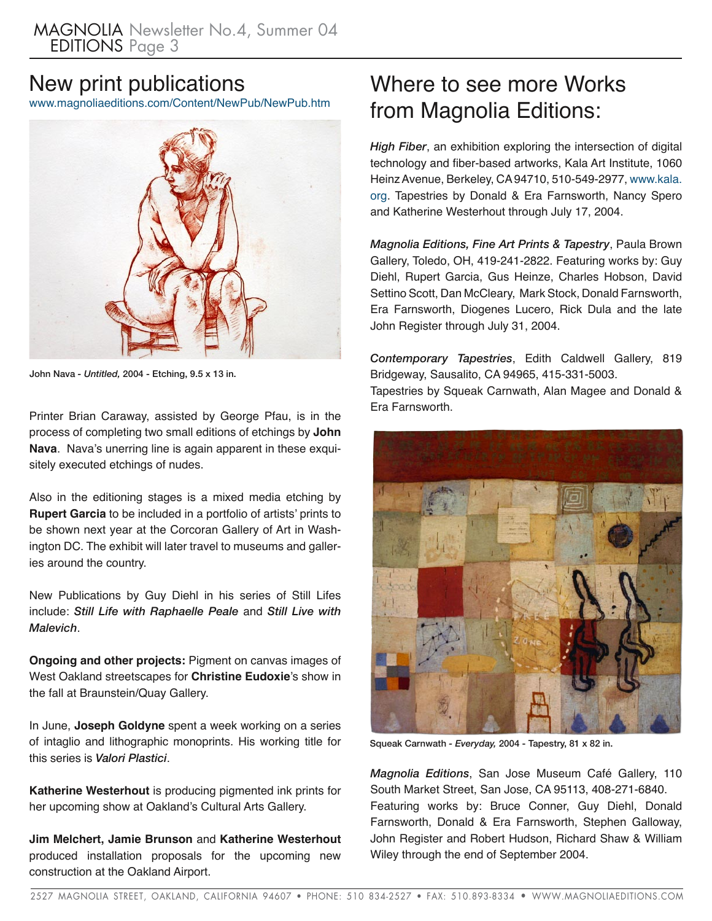#### New print publications

<www.magnoliaeditions.com/Content/NewPub/NewPub.htm>



John Nava *- Untitled,* 2004 - Etching, 9.5 x 13 in.

Printer Brian Caraway, assisted by George Pfau, is in the process of completing two small editions of etchings by **John Nava**. Nava's unerring line is again apparent in these exquisitely executed etchings of nudes.

Also in the editioning stages is a mixed media etching by **Rupert Garcia** to be included in a portfolio of artists' prints to be shown next year at the Corcoran Gallery of Art in Washington DC. The exhibit will later travel to museums and galleries around the country.

New Publications by Guy Diehl in his series of Still Lifes include: *Still Life with Raphaelle Peale* and *Still Live with Malevich*.

**Ongoing and other projects:** Pigment on canvas images of West Oakland streetscapes for **Christine Eudoxie**'s show in the fall at Braunstein/Quay Gallery.

In June, **Joseph Goldyne** spent a week working on a series of intaglio and lithographic monoprints. His working title for this series is *Valori Plastici*.

**Katherine Westerhout** is producing pigmented ink prints for her upcoming show at Oakland's Cultural Arts Gallery.

**Jim Melchert, Jamie Brunson** and **Katherine Westerhout**  produced installation proposals for the upcoming new construction at the Oakland Airport.

## Where to see more Works from Magnolia Editions:

*High Fiber*, an exhibition exploring the intersection of digital technology and fiber-based artworks, Kala Art Institute, 1060 Heinz Avenue, Berkeley, CA 94710, 510-549-2977, [www.kala.](www.kala.org) [org](www.kala.org). Tapestries by Donald & Era Farnsworth, Nancy Spero and Katherine Westerhout through July 17, 2004.

*Magnolia Editions, Fine Art Prints & Tapestry*, Paula Brown Gallery, Toledo, OH, 419-241-2822. Featuring works by: Guy Diehl, Rupert Garcia, Gus Heinze, Charles Hobson, David Settino Scott, Dan McCleary, Mark Stock, Donald Farnsworth, Era Farnsworth, Diogenes Lucero, Rick Dula and the late John Register through July 31, 2004.

*Contemporary Tapestries*, Edith Caldwell Gallery, 819 Bridgeway, Sausalito, CA 94965, 415-331-5003.

Tapestries by Squeak Carnwath, Alan Magee and Donald & Era Farnsworth.



Squeak Carnwath *- Everyday,* 2004 - Tapestry, 81 x 82 in.

*Magnolia Editions*, San Jose Museum Café Gallery, 110 South Market Street, San Jose, CA 95113, 408-271-6840. Featuring works by: Bruce Conner, Guy Diehl, Donald Farnsworth, Donald & Era Farnsworth, Stephen Galloway, John Register and Robert Hudson, Richard Shaw & William Wiley through the end of September 2004.